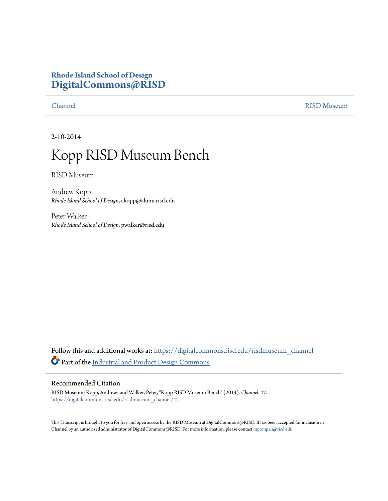## **Rhode Island School of Design [DigitalCommons@RISD](https://digitalcommons.risd.edu?utm_source=digitalcommons.risd.edu%2Frisdmuseum_channel%2F47&utm_medium=PDF&utm_campaign=PDFCoverPages)**

[Channel](https://digitalcommons.risd.edu/risdmuseum_channel?utm_source=digitalcommons.risd.edu%2Frisdmuseum_channel%2F47&utm_medium=PDF&utm_campaign=PDFCoverPages) [RISD Museum](https://digitalcommons.risd.edu/risdmuseum?utm_source=digitalcommons.risd.edu%2Frisdmuseum_channel%2F47&utm_medium=PDF&utm_campaign=PDFCoverPages)

2-10-2014

## Kopp RISD Museum Bench

RISD Museum

Andrew Kopp *Rhode Island School of Design*, akopp@alumi.risd.edu

Peter Walker *Rhode Island School of Design*, pwalker@risd.edu

Follow this and additional works at: [https://digitalcommons.risd.edu/risdmuseum\\_channel](https://digitalcommons.risd.edu/risdmuseum_channel?utm_source=digitalcommons.risd.edu%2Frisdmuseum_channel%2F47&utm_medium=PDF&utm_campaign=PDFCoverPages) Part of the [Industrial and Product Design Commons](http://network.bepress.com/hgg/discipline/1139?utm_source=digitalcommons.risd.edu%2Frisdmuseum_channel%2F47&utm_medium=PDF&utm_campaign=PDFCoverPages)

## Recommended Citation

RISD Museum; Kopp, Andrew; and Walker, Peter, "Kopp RISD Museum Bench" (2014). *Channel*. 47. [https://digitalcommons.risd.edu/risdmuseum\\_channel/47](https://digitalcommons.risd.edu/risdmuseum_channel/47?utm_source=digitalcommons.risd.edu%2Frisdmuseum_channel%2F47&utm_medium=PDF&utm_campaign=PDFCoverPages)

This Transcript is brought to you for free and open access by the RISD Museum at DigitalCommons@RISD. It has been accepted for inclusion in Channel by an authorized administrator of DigitalCommons@RISD. For more information, please contact [mpompeli@risd.edu.](mailto:mpompeli@risd.edu)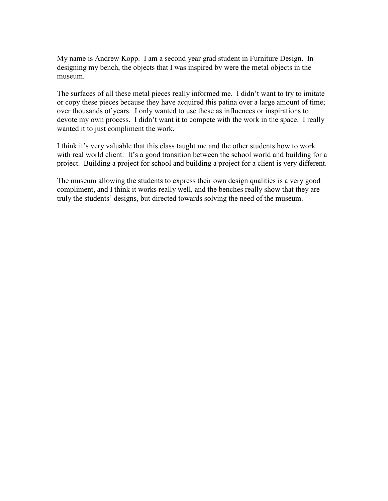My name is Andrew Kopp. I am a second year grad student in Furniture Design. In designing my bench, the objects that I was inspired by were the metal objects in the museum.

The surfaces of all these metal pieces really informed me. I didn't want to try to imitate or copy these pieces because they have acquired this patina over a large amount of time; over thousands of years. I only wanted to use these as influences or inspirations to devote my own process. I didn't want it to compete with the work in the space. I really wanted it to just compliment the work.

I think it's very valuable that this class taught me and the other students how to work with real world client. It's a good transition between the school world and building for a project. Building a project for school and building a project for a client is very different.

The museum allowing the students to express their own design qualities is a very good compliment, and I think it works really well, and the benches really show that they are truly the students' designs, but directed towards solving the need of the museum.